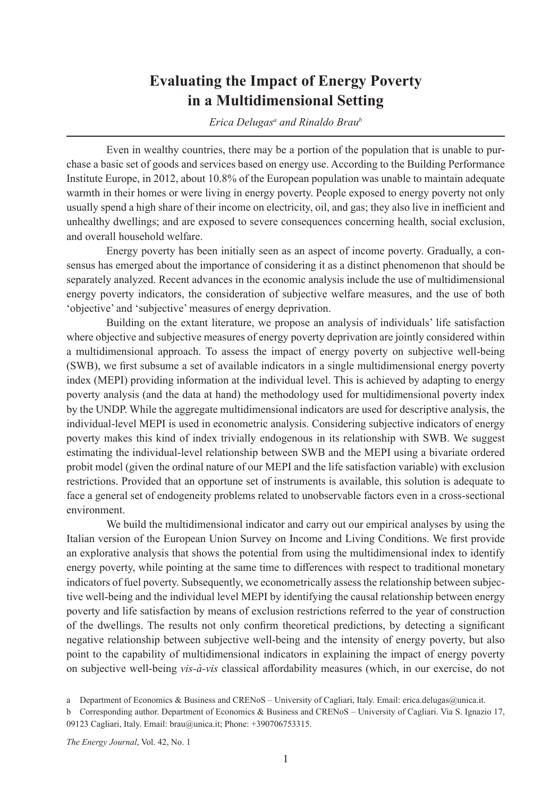## **Evaluating the Impact of Energy Poverty in a Multidimensional Setting**

*Erica Delugas<sup>a</sup> and Rinaldo Brau<sup>b</sup></sup>* 

Even in wealthy countries, there may be a portion of the population that is unable to purchase a basic set of goods and services based on energy use. According to the Building Performance Institute Europe, in 2012, about 10.8% of the European population was unable to maintain adequate warmth in their homes or were living in energy poverty. People exposed to energy poverty not only usually spend a high share of their income on electricity, oil, and gas; they also live in inefficient and unhealthy dwellings; and are exposed to severe consequences concerning health, social exclusion, and overall household welfare.

Energy poverty has been initially seen as an aspect of income poverty. Gradually, a consensus has emerged about the importance of considering it as a distinct phenomenon that should be separately analyzed. Recent advances in the economic analysis include the use of multidimensional energy poverty indicators, the consideration of subjective welfare measures, and the use of both 'objective' and 'subjective' measures of energy deprivation.

Building on the extant literature, we propose an analysis of individuals' life satisfaction where objective and subjective measures of energy poverty deprivation are jointly considered within a multidimensional approach. To assess the impact of energy poverty on subjective well-being (SWB), we first subsume a set of available indicators in a single multidimensional energy poverty index (MEPI) providing information at the individual level. This is achieved by adapting to energy poverty analysis (and the data at hand) the methodology used for multidimensional poverty index by the UNDP. While the aggregate multidimensional indicators are used for descriptive analysis, the individual-level MEPI is used in econometric analysis. Considering subjective indicators of energy poverty makes this kind of index trivially endogenous in its relationship with SWB. We suggest estimating the individual-level relationship between SWB and the MEPI using a bivariate ordered probit model (given the ordinal nature of our MEPI and the life satisfaction variable) with exclusion restrictions. Provided that an opportune set of instruments is available, this solution is adequate to face a general set of endogeneity problems related to unobservable factors even in a cross-sectional environment.

We build the multidimensional indicator and carry out our empirical analyses by using the Italian version of the European Union Survey on Income and Living Conditions. We first provide an explorative analysis that shows the potential from using the multidimensional index to identify energy poverty, while pointing at the same time to differences with respect to traditional monetary indicators of fuel poverty. Subsequently, we econometrically assess the relationship between subjective well-being and the individual level MEPI by identifying the causal relationship between energy poverty and life satisfaction by means of exclusion restrictions referred to the year of construction of the dwellings. The results not only confirm theoretical predictions, by detecting a significant negative relationship between subjective well-being and the intensity of energy poverty, but also point to the capability of multidimensional indicators in explaining the impact of energy poverty on subjective well-being *vis-à-vis* classical affordability measures (which, in our exercise, do not

a Department of Economics & Business and CRENoS – University of Cagliari, Italy. Email: erica.delugas@unica.it.

*The Energy Journal*, Vol. 42, No. 1

b Corresponding author. Department of Economics & Business and CRENoS – University of Cagliari. Via S. Ignazio 17, 09123 Cagliari, Italy. Email: brau@unica.it; Phone: +390706753315.